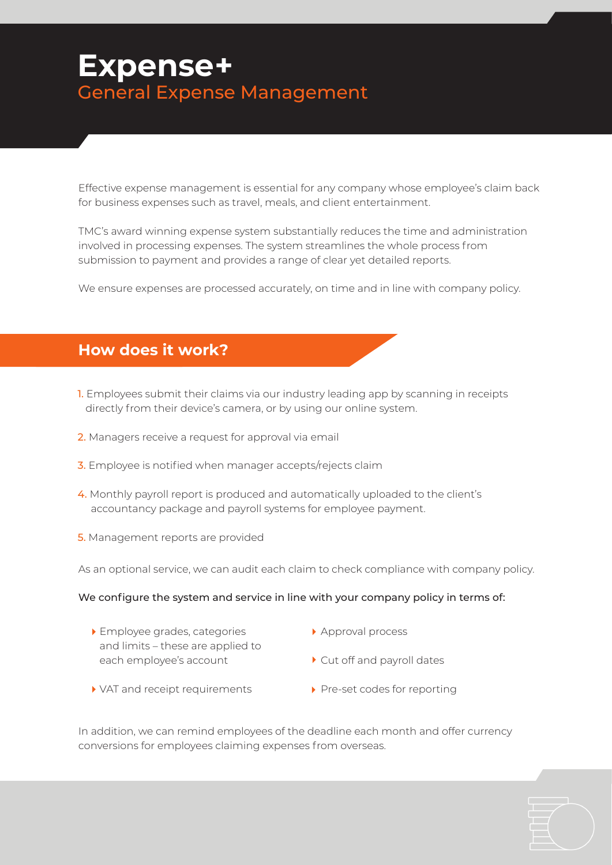# **Expense+** General Expense Management

Effective expense management is essential for any company whose employee's claim back for business expenses such as travel, meals, and client entertainment.

TMC's award winning expense system substantially reduces the time and administration involved in processing expenses. The system streamlines the whole process from submission to payment and provides a range of clear yet detailed reports.

We ensure expenses are processed accurately, on time and in line with company policy.

## **How does it work?**

**1**

- 1. Employees submit their claims via our industry leading app by scanning in receipts directly from their device's camera, or by using our online system.
- 2. Managers receive a request for approval via email
- 3. Employee is notified when manager accepts/rejects claim
- 4. Monthly payroll report is produced and automatically uploaded to the client's accountancy package and payroll systems for employee payment.
- 5. Management reports are provided

As an optional service, we can audit each claim to check compliance with company policy.

### We configure the system and service in line with your company policy in terms of:

- Employee grades, categories and limits – these are applied to each employee's account
- ▶ Approval process
- Cut off and payroll dates
- VAT and receipt requirements
- Pre-set codes for reporting

In addition, we can remind employees of the deadline each month and offer currency conversions for employees claiming expenses from overseas.